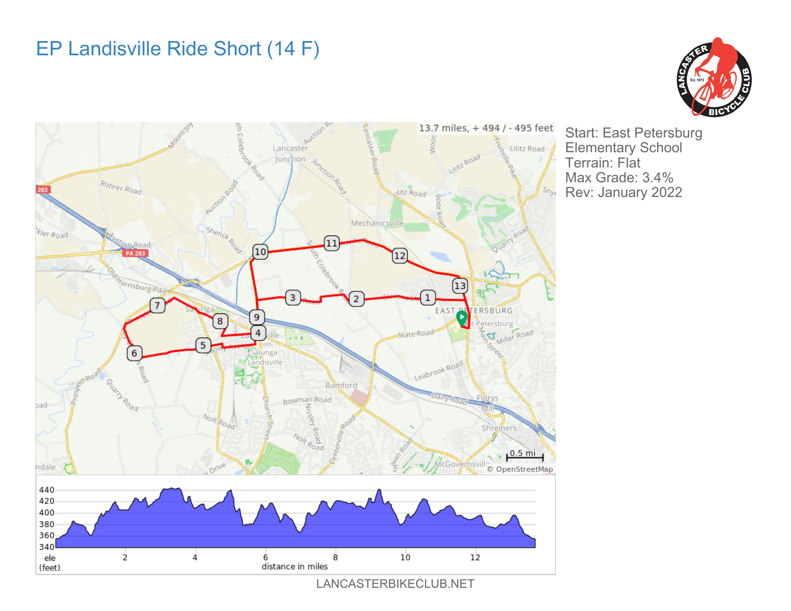## EP Landisville Ride Short (14 F)





Start: East Petersburg Elementary School Terrain: Flat Max Grade: 3.4% Rev: January 2022

LANCASTERBIKECLUB.NET